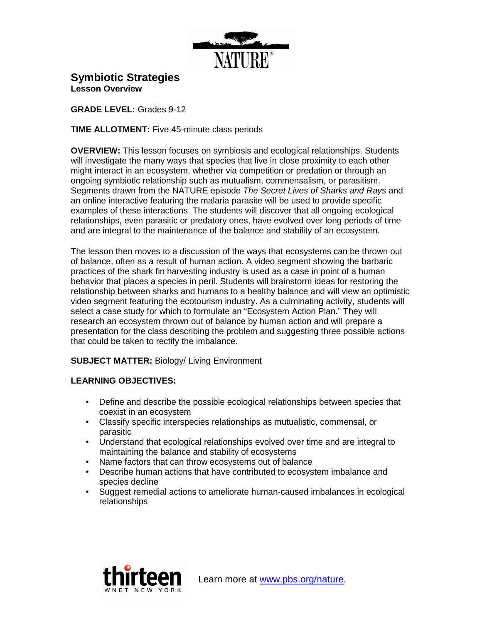

**Symbiotic Strategies**

**Lesson Overview** 

**GRADE LEVEL:** Grades 9-12

**TIME ALLOTMENT:** Five 45-minute class periods

**OVERVIEW:** This lesson focuses on symbiosis and ecological relationships. Students will investigate the many ways that species that live in close proximity to each other might interact in an ecosystem, whether via competition or predation or through an ongoing symbiotic relationship such as mutualism, commensalism, or parasitism. Segments drawn from the NATURE episode The Secret Lives of Sharks and Rays and an online interactive featuring the malaria parasite will be used to provide specific examples of these interactions. The students will discover that all ongoing ecological relationships, even parasitic or predatory ones, have evolved over long periods of time and are integral to the maintenance of the balance and stability of an ecosystem.

The lesson then moves to a discussion of the ways that ecosystems can be thrown out of balance, often as a result of human action. A video segment showing the barbaric practices of the shark fin harvesting industry is used as a case in point of a human behavior that places a species in peril. Students will brainstorm ideas for restoring the relationship between sharks and humans to a healthy balance and will view an optimistic video segment featuring the ecotourism industry. As a culminating activity, students will select a case study for which to formulate an "Ecosystem Action Plan." They will research an ecosystem thrown out of balance by human action and will prepare a presentation for the class describing the problem and suggesting three possible actions that could be taken to rectify the imbalance.

**SUBJECT MATTER:** Biology/ Living Environment

# **LEARNING OBJECTIVES:**

- Define and describe the possible ecological relationships between species that coexist in an ecosystem
- Classify specific interspecies relationships as mutualistic, commensal, or parasitic
- Understand that ecological relationships evolved over time and are integral to maintaining the balance and stability of ecosystems
- Name factors that can throw ecosystems out of balance
- Describe human actions that have contributed to ecosystem imbalance and species decline
- Suggest remedial actions to ameliorate human-caused imbalances in ecological relationships

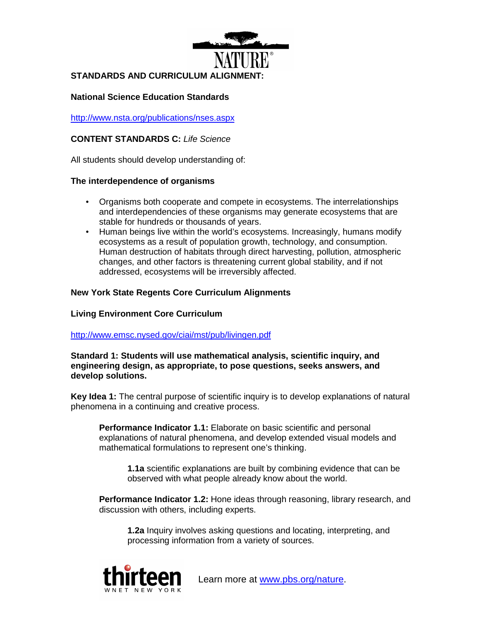

## **National Science Education Standards**

http://www.nsta.org/publications/nses.aspx

# **CONTENT STANDARDS C:** Life Science

All students should develop understanding of:

### **The interdependence of organisms**

- Organisms both cooperate and compete in ecosystems. The interrelationships and interdependencies of these organisms may generate ecosystems that are stable for hundreds or thousands of years.
- Human beings live within the world's ecosystems. Increasingly, humans modify ecosystems as a result of population growth, technology, and consumption. Human destruction of habitats through direct harvesting, pollution, atmospheric changes, and other factors is threatening current global stability, and if not addressed, ecosystems will be irreversibly affected.

# **New York State Regents Core Curriculum Alignments**

# **Living Environment Core Curriculum**

### http://www.emsc.nysed.gov/ciai/mst/pub/livingen.pdf

**Standard 1: Students will use mathematical analysis, scientific inquiry, and engineering design, as appropriate, to pose questions, seeks answers, and develop solutions.** 

**Key Idea 1:** The central purpose of scientific inquiry is to develop explanations of natural phenomena in a continuing and creative process.

**Performance Indicator 1.1:** Elaborate on basic scientific and personal explanations of natural phenomena, and develop extended visual models and mathematical formulations to represent one's thinking.

**1.1a** scientific explanations are built by combining evidence that can be observed with what people already know about the world.

**Performance Indicator 1.2:** Hone ideas through reasoning, library research, and discussion with others, including experts.

**1.2a** Inquiry involves asking questions and locating, interpreting, and processing information from a variety of sources.

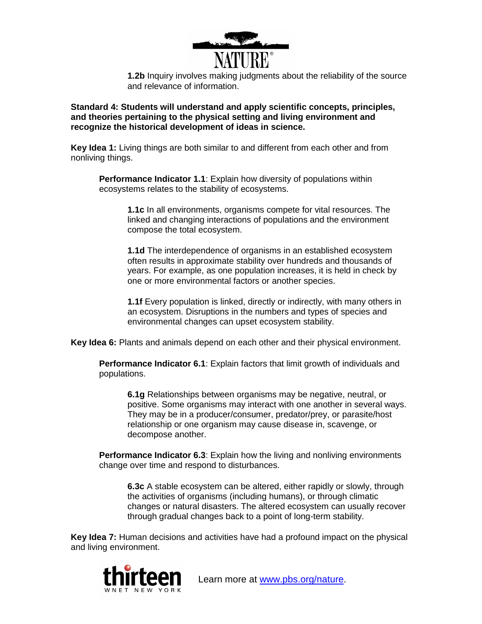

**1.2b** Inquiry involves making judgments about the reliability of the source and relevance of information.

**Standard 4: Students will understand and apply scientific concepts, principles, and theories pertaining to the physical setting and living environment and recognize the historical development of ideas in science.**

**Key Idea 1:** Living things are both similar to and different from each other and from nonliving things.

**Performance Indicator 1.1**: Explain how diversity of populations within ecosystems relates to the stability of ecosystems.

> **1.1c** In all environments, organisms compete for vital resources. The linked and changing interactions of populations and the environment compose the total ecosystem.

**1.1d** The interdependence of organisms in an established ecosystem often results in approximate stability over hundreds and thousands of years. For example, as one population increases, it is held in check by one or more environmental factors or another species.

**1.1f** Every population is linked, directly or indirectly, with many others in an ecosystem. Disruptions in the numbers and types of species and environmental changes can upset ecosystem stability.

**Key Idea 6:** Plants and animals depend on each other and their physical environment.

**Performance Indicator 6.1**: Explain factors that limit growth of individuals and populations.

**6.1g** Relationships between organisms may be negative, neutral, or positive. Some organisms may interact with one another in several ways. They may be in a producer/consumer, predator/prey, or parasite/host relationship or one organism may cause disease in, scavenge, or decompose another.

**Performance Indicator 6.3**: Explain how the living and nonliving environments change over time and respond to disturbances.

**6.3c** A stable ecosystem can be altered, either rapidly or slowly, through the activities of organisms (including humans), or through climatic changes or natural disasters. The altered ecosystem can usually recover through gradual changes back to a point of long-term stability.

**Key Idea 7:** Human decisions and activities have had a profound impact on the physical and living environment.

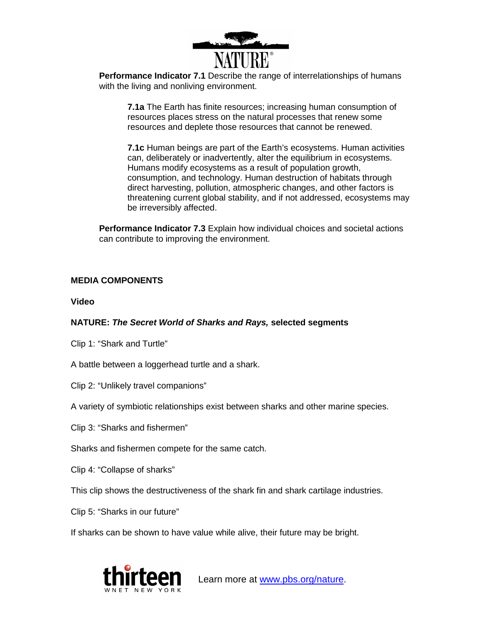

**Performance Indicator 7.1** Describe the range of interrelationships of humans with the living and nonliving environment.

**7.1a** The Earth has finite resources; increasing human consumption of resources places stress on the natural processes that renew some resources and deplete those resources that cannot be renewed.

**7.1c** Human beings are part of the Earth's ecosystems. Human activities can, deliberately or inadvertently, alter the equilibrium in ecosystems. Humans modify ecosystems as a result of population growth, consumption, and technology. Human destruction of habitats through direct harvesting, pollution, atmospheric changes, and other factors is threatening current global stability, and if not addressed, ecosystems may be irreversibly affected.

**Performance Indicator 7.3** Explain how individual choices and societal actions can contribute to improving the environment.

# **MEDIA COMPONENTS**

**Video**

# **NATURE: The Secret World of Sharks and Rays, selected segments**

Clip 1: "Shark and Turtle"

A battle between a loggerhead turtle and a shark.

Clip 2: "Unlikely travel companions"

A variety of symbiotic relationships exist between sharks and other marine species.

Clip 3: "Sharks and fishermen"

Sharks and fishermen compete for the same catch.

Clip 4: "Collapse of sharks"

This clip shows the destructiveness of the shark fin and shark cartilage industries.

Clip 5: "Sharks in our future"

If sharks can be shown to have value while alive, their future may be bright.

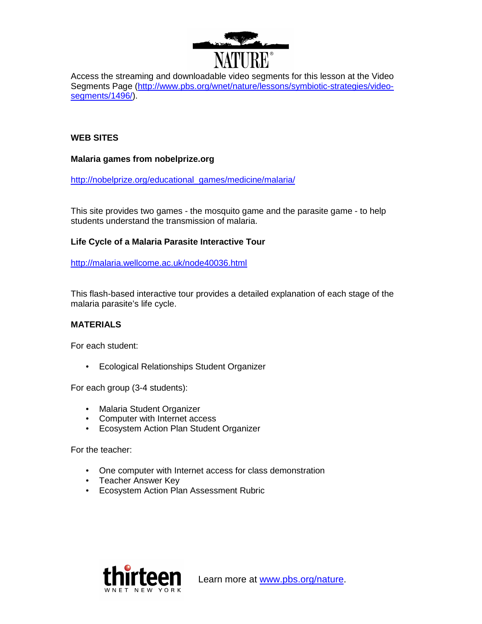

Access the streaming and downloadable video segments for this lesson at the Video Segments Page (http://www.pbs.org/wnet/nature/lessons/symbiotic-strategies/videosegments/1496/).

# **WEB SITES**

## **Malaria games from nobelprize.org**

http://nobelprize.org/educational\_games/medicine/malaria/

This site provides two games - the mosquito game and the parasite game - to help students understand the transmission of malaria.

# **Life Cycle of a Malaria Parasite Interactive Tour**

http://malaria.wellcome.ac.uk/node40036.html

This flash-based interactive tour provides a detailed explanation of each stage of the malaria parasite's life cycle.

# **MATERIALS**

For each student:

• Ecological Relationships Student Organizer

For each group (3-4 students):

- Malaria Student Organizer
- Computer with Internet access
- Ecosystem Action Plan Student Organizer

For the teacher:

- One computer with Internet access for class demonstration
- Teacher Answer Key
- Ecosystem Action Plan Assessment Rubric

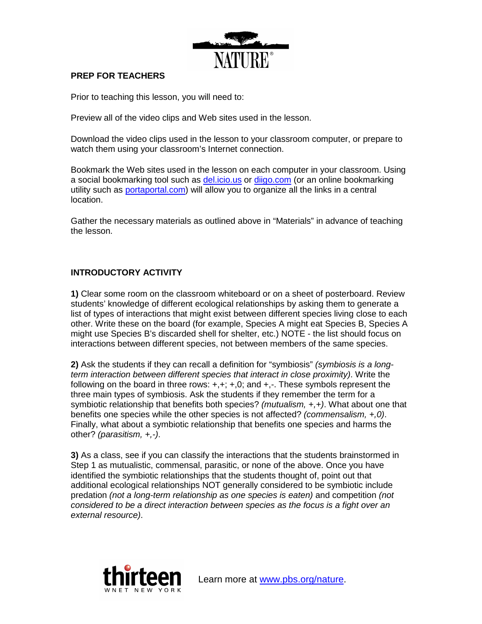

# **PREP FOR TEACHERS**

Prior to teaching this lesson, you will need to:

Preview all of the video clips and Web sites used in the lesson.

Download the video clips used in the lesson to your classroom computer, or prepare to watch them using your classroom's Internet connection.

Bookmark the Web sites used in the lesson on each computer in your classroom. Using a social bookmarking tool such as del.icio.us or diigo.com (or an online bookmarking utility such as portaportal.com) will allow you to organize all the links in a central location.

Gather the necessary materials as outlined above in "Materials" in advance of teaching the lesson.

# **INTRODUCTORY ACTIVITY**

**1)** Clear some room on the classroom whiteboard or on a sheet of posterboard. Review students' knowledge of different ecological relationships by asking them to generate a list of types of interactions that might exist between different species living close to each other. Write these on the board (for example, Species A might eat Species B, Species A might use Species B's discarded shell for shelter, etc.) NOTE - the list should focus on interactions between different species, not between members of the same species.

**2)** Ask the students if they can recall a definition for "symbiosis" (symbiosis is a longterm interaction between different species that interact in close proximity). Write the following on the board in three rows:  $+,+;+,0;$  and  $+,-.$  These symbols represent the three main types of symbiosis. Ask the students if they remember the term for a symbiotic relationship that benefits both species? (mutualism,  $+, +$ ). What about one that benefits one species while the other species is not affected? (commensalism,  $+,0$ ). Finally, what about a symbiotic relationship that benefits one species and harms the other? (parasitism, +,-).

**3)** As a class, see if you can classify the interactions that the students brainstormed in Step 1 as mutualistic, commensal, parasitic, or none of the above. Once you have identified the symbiotic relationships that the students thought of, point out that additional ecological relationships NOT generally considered to be symbiotic include predation (not a long-term relationship as one species is eaten) and competition (not considered to be a direct interaction between species as the focus is a fight over an external resource).

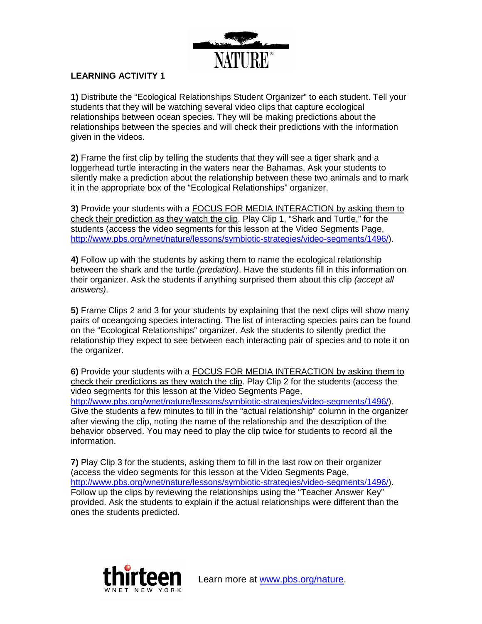

# **LEARNING ACTIVITY 1**

**1)** Distribute the "Ecological Relationships Student Organizer" to each student. Tell your students that they will be watching several video clips that capture ecological relationships between ocean species. They will be making predictions about the relationships between the species and will check their predictions with the information given in the videos.

**2)** Frame the first clip by telling the students that they will see a tiger shark and a loggerhead turtle interacting in the waters near the Bahamas. Ask your students to silently make a prediction about the relationship between these two animals and to mark it in the appropriate box of the "Ecological Relationships" organizer.

**3)** Provide your students with a FOCUS FOR MEDIA INTERACTION by asking them to check their prediction as they watch the clip. Play Clip 1, "Shark and Turtle," for the students (access the video segments for this lesson at the Video Segments Page, http://www.pbs.org/wnet/nature/lessons/symbiotic-strategies/video-segments/1496/).

**4)** Follow up with the students by asking them to name the ecological relationship between the shark and the turtle *(predation)*. Have the students fill in this information on their organizer. Ask the students if anything surprised them about this clip *(accept all*) answers).

**5)** Frame Clips 2 and 3 for your students by explaining that the next clips will show many pairs of oceangoing species interacting. The list of interacting species pairs can be found on the "Ecological Relationships" organizer. Ask the students to silently predict the relationship they expect to see between each interacting pair of species and to note it on the organizer.

**6)** Provide your students with a FOCUS FOR MEDIA INTERACTION by asking them to check their predictions as they watch the clip. Play Clip 2 for the students (access the video segments for this lesson at the Video Segments Page, http://www.pbs.org/wnet/nature/lessons/symbiotic-strategies/video-segments/1496/). Give the students a few minutes to fill in the "actual relationship" column in the organizer after viewing the clip, noting the name of the relationship and the description of the behavior observed. You may need to play the clip twice for students to record all the information.

**7)** Play Clip 3 for the students, asking them to fill in the last row on their organizer (access the video segments for this lesson at the Video Segments Page, http://www.pbs.org/wnet/nature/lessons/symbiotic-strategies/video-segments/1496/). Follow up the clips by reviewing the relationships using the "Teacher Answer Key" provided. Ask the students to explain if the actual relationships were different than the ones the students predicted.

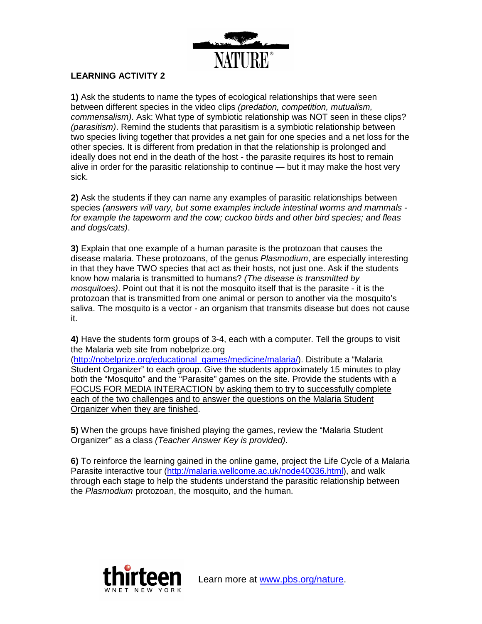

# **LEARNING ACTIVITY 2**

**1)** Ask the students to name the types of ecological relationships that were seen between different species in the video clips (predation, competition, mutualism, commensalism). Ask: What type of symbiotic relationship was NOT seen in these clips? (parasitism). Remind the students that parasitism is a symbiotic relationship between two species living together that provides a net gain for one species and a net loss for the other species. It is different from predation in that the relationship is prolonged and ideally does not end in the death of the host - the parasite requires its host to remain alive in order for the parasitic relationship to continue — but it may make the host very sick.

**2)** Ask the students if they can name any examples of parasitic relationships between species (answers will vary, but some examples include intestinal worms and mammals for example the tapeworm and the cow; cuckoo birds and other bird species; and fleas and dogs/cats).

**3)** Explain that one example of a human parasite is the protozoan that causes the disease malaria. These protozoans, of the genus Plasmodium, are especially interesting in that they have TWO species that act as their hosts, not just one. Ask if the students know how malaria is transmitted to humans? (The disease is transmitted by mosquitoes). Point out that it is not the mosquito itself that is the parasite - it is the protozoan that is transmitted from one animal or person to another via the mosquito's saliva. The mosquito is a vector - an organism that transmits disease but does not cause it.

**4)** Have the students form groups of 3-4, each with a computer. Tell the groups to visit the Malaria web site from nobelprize.org

(http://nobelprize.org/educational\_games/medicine/malaria/). Distribute a "Malaria Student Organizer" to each group. Give the students approximately 15 minutes to play both the "Mosquito" and the "Parasite" games on the site. Provide the students with a FOCUS FOR MEDIA INTERACTION by asking them to try to successfully complete each of the two challenges and to answer the questions on the Malaria Student Organizer when they are finished.

**5)** When the groups have finished playing the games, review the "Malaria Student Organizer" as a class (Teacher Answer Key is provided).

**6)** To reinforce the learning gained in the online game, project the Life Cycle of a Malaria Parasite interactive tour (http://malaria.wellcome.ac.uk/node40036.html), and walk through each stage to help the students understand the parasitic relationship between the Plasmodium protozoan, the mosquito, and the human.

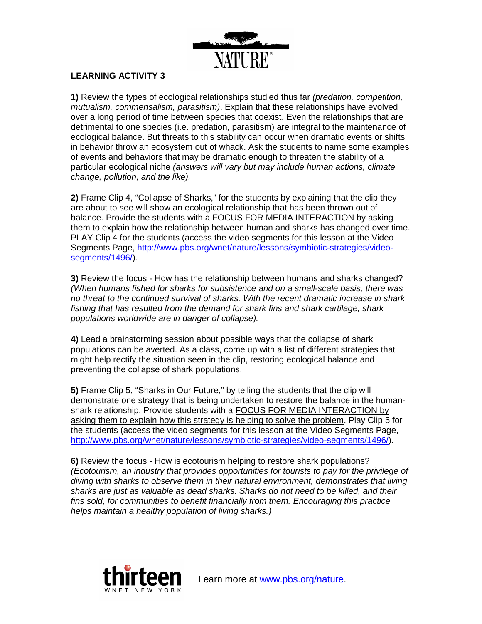

# **LEARNING ACTIVITY 3**

**1)** Review the types of ecological relationships studied thus far (predation, competition, mutualism, commensalism, parasitism). Explain that these relationships have evolved over a long period of time between species that coexist. Even the relationships that are detrimental to one species (i.e. predation, parasitism) are integral to the maintenance of ecological balance. But threats to this stability can occur when dramatic events or shifts in behavior throw an ecosystem out of whack. Ask the students to name some examples of events and behaviors that may be dramatic enough to threaten the stability of a particular ecological niche (answers will vary but may include human actions, climate change, pollution, and the like).

**2)** Frame Clip 4, "Collapse of Sharks," for the students by explaining that the clip they are about to see will show an ecological relationship that has been thrown out of balance. Provide the students with a FOCUS FOR MEDIA INTERACTION by asking them to explain how the relationship between human and sharks has changed over time. PLAY Clip 4 for the students (access the video segments for this lesson at the Video Segments Page, http://www.pbs.org/wnet/nature/lessons/symbiotic-strategies/videosegments/1496/).

**3)** Review the focus - How has the relationship between humans and sharks changed? (When humans fished for sharks for subsistence and on a small-scale basis, there was no threat to the continued survival of sharks. With the recent dramatic increase in shark fishing that has resulted from the demand for shark fins and shark cartilage, shark populations worldwide are in danger of collapse).

**4)** Lead a brainstorming session about possible ways that the collapse of shark populations can be averted. As a class, come up with a list of different strategies that might help rectify the situation seen in the clip, restoring ecological balance and preventing the collapse of shark populations.

**5)** Frame Clip 5, "Sharks in Our Future," by telling the students that the clip will demonstrate one strategy that is being undertaken to restore the balance in the humanshark relationship. Provide students with a FOCUS FOR MEDIA INTERACTION by asking them to explain how this strategy is helping to solve the problem. Play Clip 5 for the students (access the video segments for this lesson at the Video Segments Page, http://www.pbs.org/wnet/nature/lessons/symbiotic-strategies/video-segments/1496/).

**6)** Review the focus - How is ecotourism helping to restore shark populations? (Ecotourism, an industry that provides opportunities for tourists to pay for the privilege of diving with sharks to observe them in their natural environment, demonstrates that living sharks are just as valuable as dead sharks. Sharks do not need to be killed, and their fins sold, for communities to benefit financially from them. Encouraging this practice helps maintain a healthy population of living sharks.)

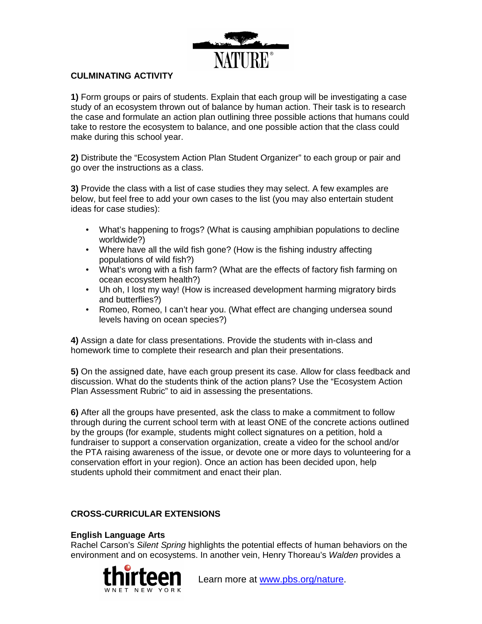

# **CULMINATING ACTIVITY**

**1)** Form groups or pairs of students. Explain that each group will be investigating a case study of an ecosystem thrown out of balance by human action. Their task is to research the case and formulate an action plan outlining three possible actions that humans could take to restore the ecosystem to balance, and one possible action that the class could make during this school year.

**2)** Distribute the "Ecosystem Action Plan Student Organizer" to each group or pair and go over the instructions as a class.

**3)** Provide the class with a list of case studies they may select. A few examples are below, but feel free to add your own cases to the list (you may also entertain student ideas for case studies):

- What's happening to frogs? (What is causing amphibian populations to decline worldwide?)
- Where have all the wild fish gone? (How is the fishing industry affecting populations of wild fish?)
- What's wrong with a fish farm? (What are the effects of factory fish farming on ocean ecosystem health?)
- Uh oh, I lost my way! (How is increased development harming migratory birds and butterflies?)
- Romeo, Romeo, I can't hear you. (What effect are changing undersea sound levels having on ocean species?)

**4)** Assign a date for class presentations. Provide the students with in-class and homework time to complete their research and plan their presentations.

**5)** On the assigned date, have each group present its case. Allow for class feedback and discussion. What do the students think of the action plans? Use the "Ecosystem Action Plan Assessment Rubric" to aid in assessing the presentations.

**6)** After all the groups have presented, ask the class to make a commitment to follow through during the current school term with at least ONE of the concrete actions outlined by the groups (for example, students might collect signatures on a petition, hold a fundraiser to support a conservation organization, create a video for the school and/or the PTA raising awareness of the issue, or devote one or more days to volunteering for a conservation effort in your region). Once an action has been decided upon, help students uphold their commitment and enact their plan.

# **CROSS-CURRICULAR EXTENSIONS**

# **English Language Arts**

Rachel Carson's Silent Spring highlights the potential effects of human behaviors on the environment and on ecosystems. In another vein, Henry Thoreau's Walden provides a

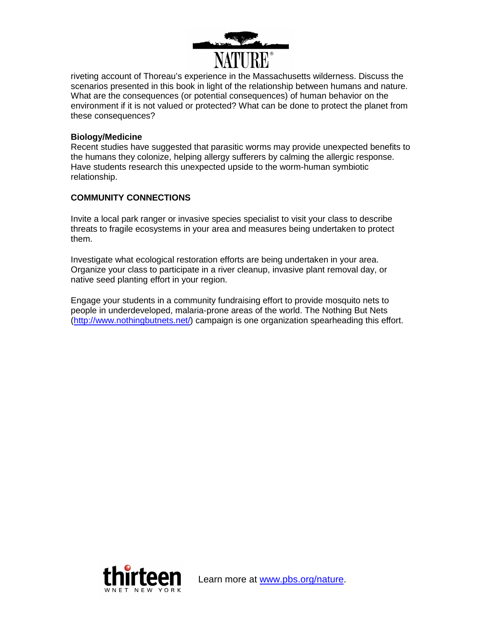

riveting account of Thoreau's experience in the Massachusetts wilderness. Discuss the scenarios presented in this book in light of the relationship between humans and nature. What are the consequences (or potential consequences) of human behavior on the environment if it is not valued or protected? What can be done to protect the planet from these consequences?

## **Biology/Medicine**

Recent studies have suggested that parasitic worms may provide unexpected benefits to the humans they colonize, helping allergy sufferers by calming the allergic response. Have students research this unexpected upside to the worm-human symbiotic relationship.

# **COMMUNITY CONNECTIONS**

Invite a local park ranger or invasive species specialist to visit your class to describe threats to fragile ecosystems in your area and measures being undertaken to protect them.

Investigate what ecological restoration efforts are being undertaken in your area. Organize your class to participate in a river cleanup, invasive plant removal day, or native seed planting effort in your region.

Engage your students in a community fundraising effort to provide mosquito nets to people in underdeveloped, malaria-prone areas of the world. The Nothing But Nets (http://www.nothingbutnets.net/) campaign is one organization spearheading this effort.

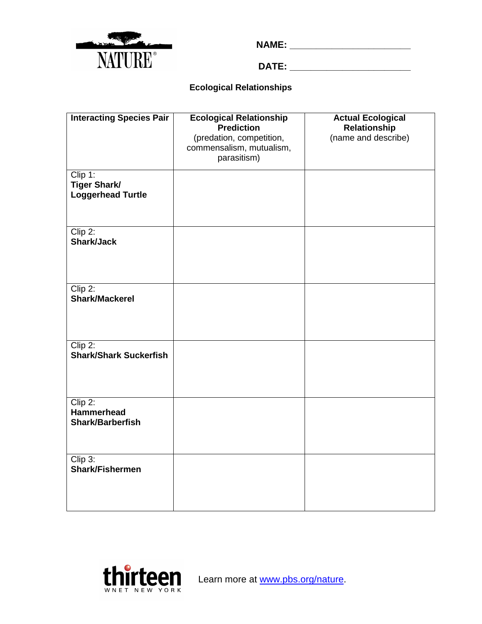

**NAME: \_\_\_\_\_\_\_\_\_\_\_\_\_\_\_\_\_\_\_\_\_\_\_\_\_** 

**DATE: \_\_\_\_\_\_\_\_\_\_\_\_\_\_\_\_\_\_\_\_\_\_\_**

# **Ecological Relationships**

| <b>Interacting Species Pair</b>                            | <b>Ecological Relationship</b><br>Prediction                        | <b>Actual Ecological</b><br>Relationship |
|------------------------------------------------------------|---------------------------------------------------------------------|------------------------------------------|
|                                                            | (predation, competition,<br>commensalism, mutualism,<br>parasitism) | (name and describe)                      |
| Clip 1:<br><b>Tiger Shark/</b><br><b>Loggerhead Turtle</b> |                                                                     |                                          |
| $Clip$ 2:<br>Shark/Jack                                    |                                                                     |                                          |
| $Clip$ 2:<br>Shark/Mackerel                                |                                                                     |                                          |
| $Clip$ 2:<br><b>Shark/Shark Suckerfish</b>                 |                                                                     |                                          |
| $Clip$ 2:<br><b>Hammerhead</b><br><b>Shark/Barberfish</b>  |                                                                     |                                          |
| Clip 3:<br><b>Shark/Fishermen</b>                          |                                                                     |                                          |

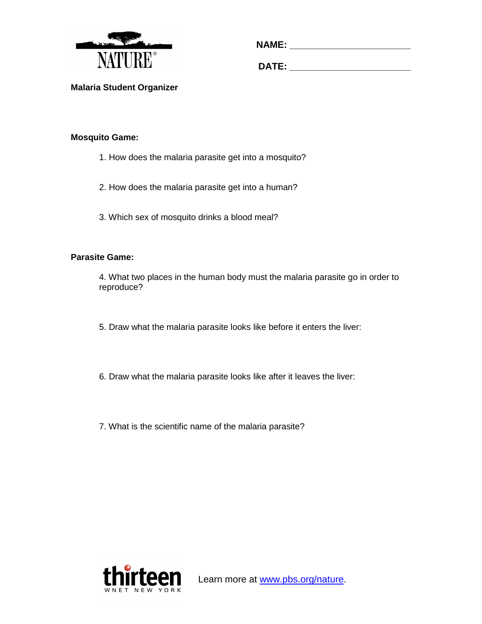

| <b>NAME:</b> |  |  |  |  |
|--------------|--|--|--|--|
|              |  |  |  |  |
|              |  |  |  |  |

**DATE: \_\_\_\_\_\_\_\_\_\_\_\_\_\_\_\_\_\_\_\_\_\_\_**

**Malaria Student Organizer** 

# **Mosquito Game:**

- 1. How does the malaria parasite get into a mosquito?
- 2. How does the malaria parasite get into a human?
- 3. Which sex of mosquito drinks a blood meal?

# **Parasite Game:**

4. What two places in the human body must the malaria parasite go in order to reproduce?

- 5. Draw what the malaria parasite looks like before it enters the liver:
- 6. Draw what the malaria parasite looks like after it leaves the liver:
- 7. What is the scientific name of the malaria parasite?

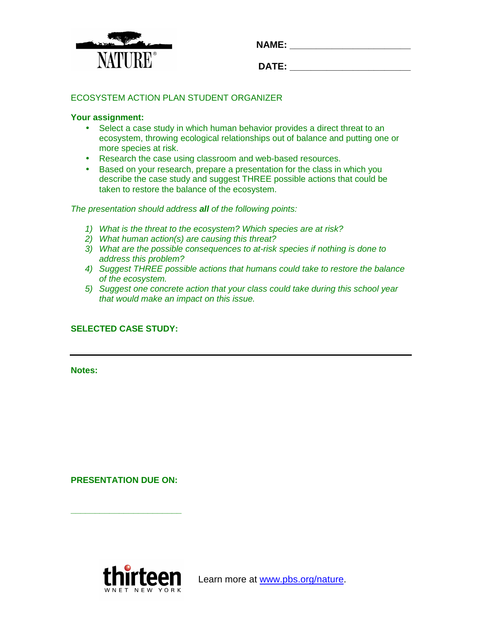

| <b>NAME:</b> |  |  |  |
|--------------|--|--|--|
|              |  |  |  |
|              |  |  |  |

| ۰<br>- 1<br>٠<br>п<br>-- |  |
|--------------------------|--|
|                          |  |
|                          |  |

# ECOSYSTEM ACTION PLAN STUDENT ORGANIZER

#### **Your assignment:**

- Select a case study in which human behavior provides a direct threat to an ecosystem, throwing ecological relationships out of balance and putting one or more species at risk.
- Research the case using classroom and web-based resources.
- Based on your research, prepare a presentation for the class in which you describe the case study and suggest THREE possible actions that could be taken to restore the balance of the ecosystem.

The presentation should address **all** of the following points:

- 1) What is the threat to the ecosystem? Which species are at risk?
- 2) What human action(s) are causing this threat?
- 3) What are the possible consequences to at-risk species if nothing is done to address this problem?
- 4) Suggest THREE possible actions that humans could take to restore the balance of the ecosystem.
- 5) Suggest one concrete action that your class could take during this school year that would make an impact on this issue.

# **SELECTED CASE STUDY:**

**Notes:** 

**PRESENTATION DUE ON:** 

**\_\_\_\_\_\_\_\_\_\_\_\_\_\_\_\_\_\_\_\_\_\_\_** 

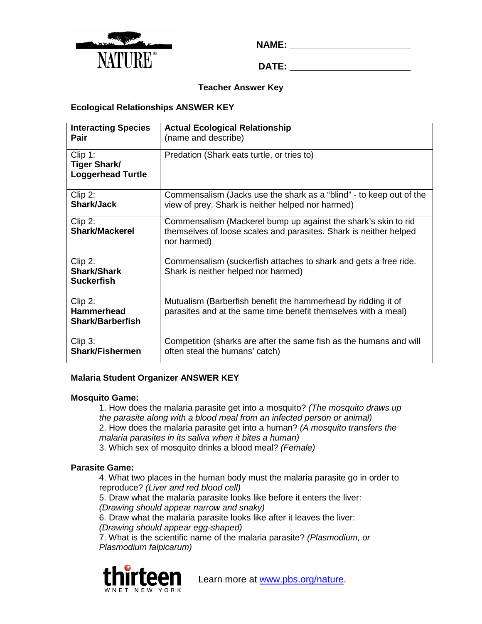

**NAME:**  $\blacksquare$ 

**DATE: \_\_\_\_\_\_\_\_\_\_\_\_\_\_\_\_\_\_\_\_\_\_\_**

# **Teacher Answer Key**

# **Ecological Relationships ANSWER KEY**

| <b>Interacting Species</b><br>Pair                         | <b>Actual Ecological Relationship</b><br>(name and describe)                                                                                       |
|------------------------------------------------------------|----------------------------------------------------------------------------------------------------------------------------------------------------|
| Clip 1:<br><b>Tiger Shark/</b><br><b>Loggerhead Turtle</b> | Predation (Shark eats turtle, or tries to)                                                                                                         |
| Clip 2:<br><b>Shark/Jack</b>                               | Commensalism (Jacks use the shark as a "blind" - to keep out of the<br>view of prey. Shark is neither helped nor harmed)                           |
| Clip 2:<br><b>Shark/Mackerel</b>                           | Commensalism (Mackerel bump up against the shark's skin to rid<br>themselves of loose scales and parasites. Shark is neither helped<br>nor harmed) |
| Clip 2:<br><b>Shark/Shark</b><br><b>Suckerfish</b>         | Commensalism (suckerfish attaches to shark and gets a free ride.<br>Shark is neither helped nor harmed)                                            |
| Clip 2:<br><b>Hammerhead</b><br><b>Shark/Barberfish</b>    | Mutualism (Barberfish benefit the hammerhead by ridding it of<br>parasites and at the same time benefit themselves with a meal)                    |
| Clip 3:<br><b>Shark/Fishermen</b>                          | Competition (sharks are after the same fish as the humans and will<br>often steal the humans' catch)                                               |

### **Malaria Student Organizer ANSWER KEY**

### **Mosquito Game:**

1. How does the malaria parasite get into a mosquito? (The mosquito draws up the parasite along with a blood meal from an infected person or animal) 2. How does the malaria parasite get into a human? (A mosquito transfers the malaria parasites in its saliva when it bites a human)

3. Which sex of mosquito drinks a blood meal? (Female)

# **Parasite Game:**

4. What two places in the human body must the malaria parasite go in order to reproduce? (Liver and red blood cell)

5. Draw what the malaria parasite looks like before it enters the liver: (Drawing should appear narrow and snaky)

6. Draw what the malaria parasite looks like after it leaves the liver: (Drawing should appear egg-shaped)

7. What is the scientific name of the malaria parasite? (Plasmodium, or Plasmodium falpicarum)